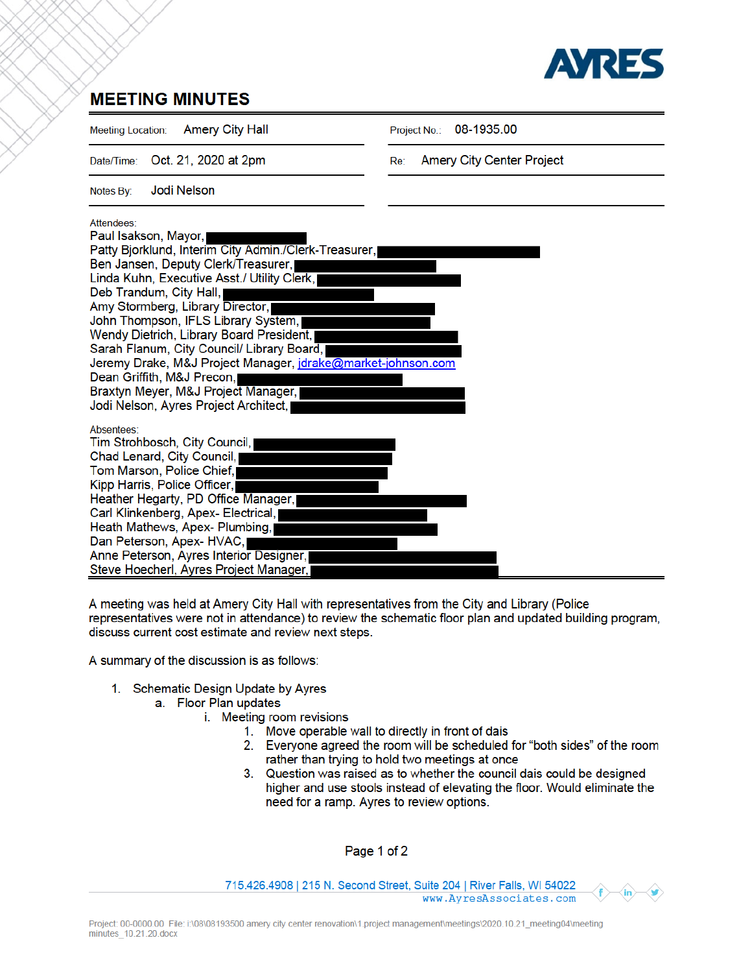

## **MEETING MINUTES**

| <b>Amery City Hall</b><br><b>Meeting Location:</b>                                                                                                                                                                                                                                                                                                                                                                                                                                                                                                              | 08-1935.00<br>Project No.:              |
|-----------------------------------------------------------------------------------------------------------------------------------------------------------------------------------------------------------------------------------------------------------------------------------------------------------------------------------------------------------------------------------------------------------------------------------------------------------------------------------------------------------------------------------------------------------------|-----------------------------------------|
| Oct. 21, 2020 at 2pm<br>Date/Time:                                                                                                                                                                                                                                                                                                                                                                                                                                                                                                                              | <b>Amery City Center Project</b><br>Re: |
| Jodi Nelson<br>Notes By:                                                                                                                                                                                                                                                                                                                                                                                                                                                                                                                                        |                                         |
| Attendees:<br>Paul Isakson, Mayor,<br>Patty Bjorklund, Interim City Admin./Clerk-Treasurer,<br>Ben Jansen, Deputy Clerk/Treasurer,<br>Linda Kuhn, Executive Asst./ Utility Clerk,<br>Deb Trandum, City Hall,<br>Amy Stormberg, Library Director,<br>John Thompson, IFLS Library System,<br>Wendy Dietrich, Library Board President,<br>Sarah Flanum, City Council/ Library Board,<br>Jeremy Drake, M&J Project Manager, jdrake@market-johnson.com<br>Dean Griffith, M&J Precon,<br>Braxtyn Meyer, M&J Project Manager,<br>Jodi Nelson, Ayres Project Architect, |                                         |
| Absentees:<br>Tim Strohbosch, City Council,<br>Chad Lenard, City Council,<br>Tom Marson, Police Chief,<br>Kipp Harris, Police Officer,<br>Heather Hegarty, PD Office Manager,<br>Carl Klinkenberg, Apex- Electrical,<br>Heath Mathews, Apex- Plumbing,<br>Dan Peterson, Apex-HVAC,<br>Anne Peterson, Ayres Interior Designer,<br>Steve Hoecherl, Ayres Project Manager,                                                                                                                                                                                         |                                         |

A meeting was held at Amery City Hall with representatives from the City and Library (Police representatives were not in attendance) to review the schematic floor plan and updated building program, discuss current cost estimate and review next steps.

A summary of the discussion is as follows:

- 1. Schematic Design Update by Ayres
	- a. Floor Plan updates
		- i. Meeting room revisions
			- 1. Move operable wall to directly in front of dais
			- 2. Everyone agreed the room will be scheduled for "both sides" of the room rather than trying to hold two meetings at once
			- 3. Question was raised as to whether the council dais could be designed higher and use stools instead of elevating the floor. Would eliminate the need for a ramp. Ayres to review options.

Page 1 of 2

715.426.4908 | 215 N. Second Street, Suite 204 | River Falls, WI 54022 www.AyresAssociates.com